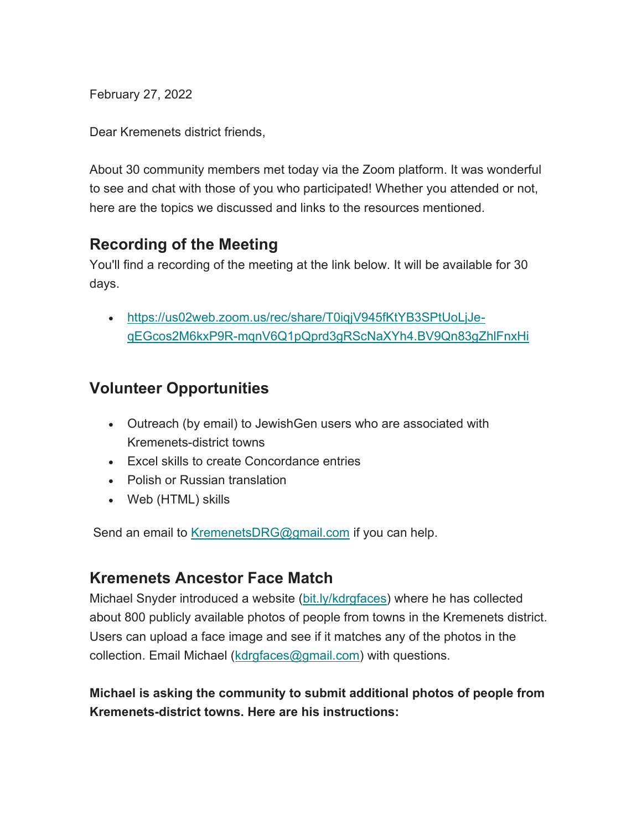February 27, 2022

Dear Kremenets district friends,

About 30 community members met today via the Zoom platform. It was wonderful to see and chat with those of you who participated! Whether you attended or not, here are the topics we discussed and links to the resources mentioned.

#### **Recording of the Meeting**

You'll find a recording of the meeting at the link below. It will be available for 30 days.

 https://us02web.zoom.us/rec/share/T0iqjV945fKtYB3SPtUoLjJeqEGcos2M6kxP9R-mqnV6Q1pQprd3gRScNaXYh4.BV9Qn83gZhlFnxHi

# **Volunteer Opportunities**

- Outreach (by email) to JewishGen users who are associated with Kremenets-district towns
- Excel skills to create Concordance entries
- Polish or Russian translation
- Web (HTML) skills

Send an email to KremenetsDRG@gmail.com if you can help.

#### **Kremenets Ancestor Face Match**

Michael Snyder introduced a website (bit.ly/kdrgfaces) where he has collected about 800 publicly available photos of people from towns in the Kremenets district. Users can upload a face image and see if it matches any of the photos in the collection. Email Michael (kdrgfaces@gmail.com) with questions.

**Michael is asking the community to submit additional photos of people from Kremenets-district towns. Here are his instructions:**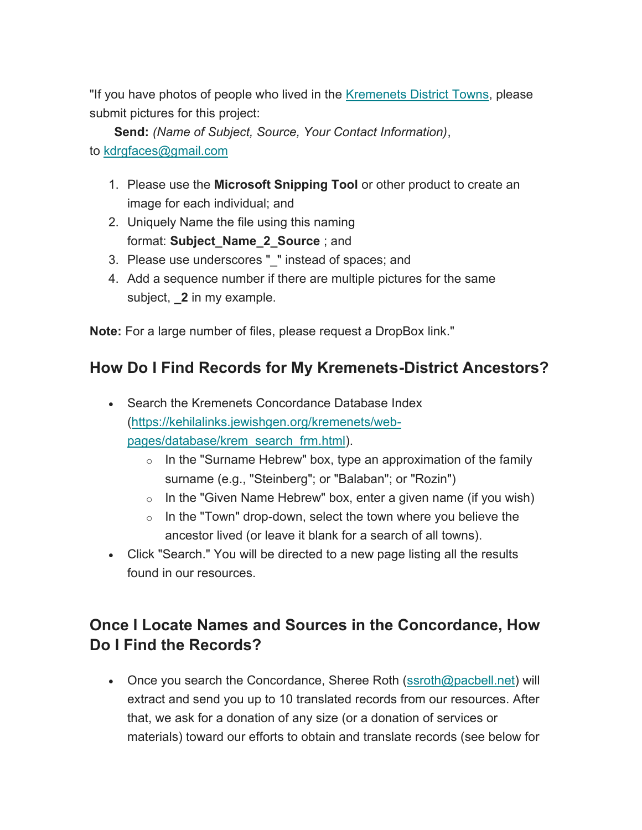"If you have photos of people who lived in the Kremenets District Towns, please submit pictures for this project:

**Send:** *(Name of Subject, Source, Your Contact Information)*, to kdrgfaces@gmail.com

- 1. Please use the **Microsoft Snipping Tool** or other product to create an image for each individual; and
- 2. Uniquely Name the file using this naming format: **Subject\_Name\_2\_Source** ; and
- 3. Please use underscores "\_" instead of spaces; and
- 4. Add a sequence number if there are multiple pictures for the same subject, **\_2** in my example.

**Note:** For a large number of files, please request a DropBox link."

# **How Do I Find Records for My Kremenets-District Ancestors?**

- Search the Kremenets Concordance Database Index (https://kehilalinks.jewishgen.org/kremenets/webpages/database/krem\_search\_frm.html).
	- $\circ$  In the "Surname Hebrew" box, type an approximation of the family surname (e.g., "Steinberg"; or "Balaban"; or "Rozin")
	- $\circ$  In the "Given Name Hebrew" box, enter a given name (if you wish)
	- $\circ$  In the "Town" drop-down, select the town where you believe the ancestor lived (or leave it blank for a search of all towns).
- Click "Search." You will be directed to a new page listing all the results found in our resources.

# **Once I Locate Names and Sources in the Concordance, How Do I Find the Records?**

• Once you search the Concordance, Sheree Roth (ssroth@pacbell.net) will extract and send you up to 10 translated records from our resources. After that, we ask for a donation of any size (or a donation of services or materials) toward our efforts to obtain and translate records (see below for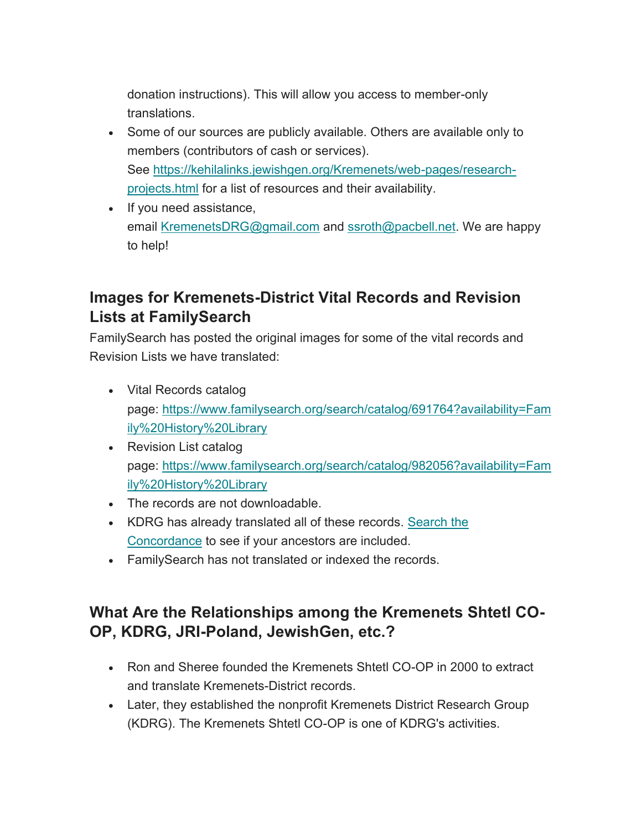donation instructions). This will allow you access to member-only translations.

- Some of our sources are publicly available. Others are available only to members (contributors of cash or services). See https://kehilalinks.jewishgen.org/Kremenets/web-pages/researchprojects.html for a list of resources and their availability.
- If you need assistance, email KremenetsDRG@gmail.com and ssroth@pacbell.net. We are happy to help!

### **Images for Kremenets-District Vital Records and Revision Lists at FamilySearch**

FamilySearch has posted the original images for some of the vital records and Revision Lists we have translated:

- Vital Records catalog page: https://www.familysearch.org/search/catalog/691764?availability=Fam ily%20History%20Library
- Revision List catalog page: https://www.familysearch.org/search/catalog/982056?availability=Fam ily%20History%20Library
- The records are not downloadable.
- KDRG has already translated all of these records. Search the Concordance to see if your ancestors are included.
- FamilySearch has not translated or indexed the records.

# **What Are the Relationships among the Kremenets Shtetl CO-OP, KDRG, JRI-Poland, JewishGen, etc.?**

- Ron and Sheree founded the Kremenets Shtetl CO-OP in 2000 to extract and translate Kremenets-District records.
- Later, they established the nonprofit Kremenets District Research Group (KDRG). The Kremenets Shtetl CO-OP is one of KDRG's activities.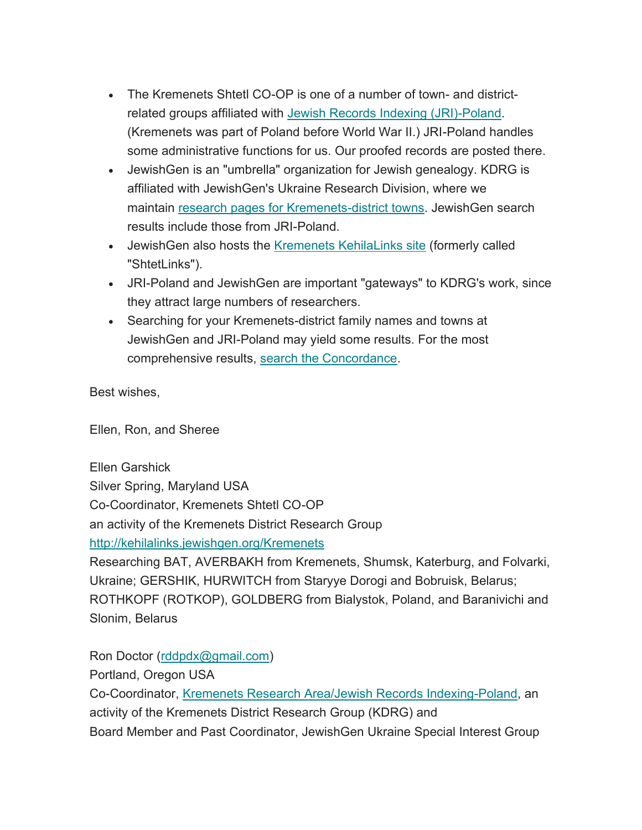- The Kremenets Shtetl CO-OP is one of a number of town- and districtrelated groups affiliated with Jewish Records Indexing (JRI)-Poland. (Kremenets was part of Poland before World War II.) JRI-Poland handles some administrative functions for us. Our proofed records are posted there.
- JewishGen is an "umbrella" organization for Jewish genealogy. KDRG is affiliated with JewishGen's Ukraine Research Division, where we maintain research pages for Kremenets-district towns. JewishGen search results include those from JRI-Poland.
- JewishGen also hosts the Kremenets KehilaLinks site (formerly called "ShtetLinks").
- JRI-Poland and JewishGen are important "gateways" to KDRG's work, since they attract large numbers of researchers.
- Searching for your Kremenets-district family names and towns at JewishGen and JRI-Poland may yield some results. For the most comprehensive results, search the Concordance.

Best wishes,

Ellen, Ron, and Sheree

Ellen Garshick Silver Spring, Maryland USA Co-Coordinator, Kremenets Shtetl CO-OP an activity of the Kremenets District Research Group http://kehilalinks.jewishgen.org/Kremenets Researching BAT, AVERBAKH from Kremenets, Shumsk, Katerburg, and Folvarki, Ukraine; GERSHIK, HURWITCH from Staryye Dorogi and Bobruisk, Belarus; ROTHKOPF (ROTKOP), GOLDBERG from Bialystok, Poland, and Baranivichi and

Slonim, Belarus

Ron Doctor (rddpdx@gmail.com)

Portland, Oregon USA

Co-Coordinator, Kremenets Research Area/Jewish Records Indexing-Poland, an activity of the Kremenets District Research Group (KDRG) and Board Member and Past Coordinator, JewishGen Ukraine Special Interest Group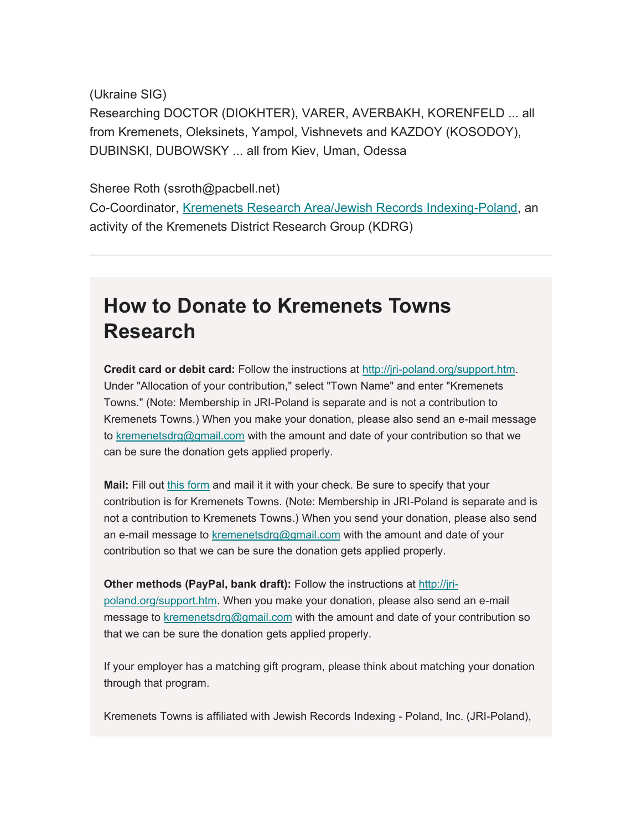(Ukraine SIG) Researching DOCTOR (DIOKHTER), VARER, AVERBAKH, KORENFELD ... all from Kremenets, Oleksinets, Yampol, Vishnevets and KAZDOY (KOSODOY), DUBINSKI, DUBOWSKY ... all from Kiev, Uman, Odessa

Sheree Roth (ssroth@pacbell.net) Co-Coordinator, Kremenets Research Area/Jewish Records Indexing-Poland, an activity of the Kremenets District Research Group (KDRG)

# **How to Donate to Kremenets Towns Research**

**Credit card or debit card:** Follow the instructions at http://jri-poland.org/support.htm. Under "Allocation of your contribution," select "Town Name" and enter "Kremenets Towns." (Note: Membership in JRI-Poland is separate and is not a contribution to Kremenets Towns.) When you make your donation, please also send an e-mail message to kremenetsdrg@gmail.com with the amount and date of your contribution so that we can be sure the donation gets applied properly.

**Mail:** Fill out this form and mail it it with your check. Be sure to specify that your contribution is for Kremenets Towns. (Note: Membership in JRI-Poland is separate and is not a contribution to Kremenets Towns.) When you send your donation, please also send an e-mail message to kremenetsdrg@gmail.com with the amount and date of your contribution so that we can be sure the donation gets applied properly.

**Other methods (PayPal, bank draft):** Follow the instructions at http://jripoland.org/support.htm. When you make your donation, please also send an e-mail message to kremenetsdrg@gmail.com with the amount and date of your contribution so that we can be sure the donation gets applied properly.

If your employer has a matching gift program, please think about matching your donation through that program.

Kremenets Towns is affiliated with Jewish Records Indexing - Poland, Inc. (JRI-Poland),